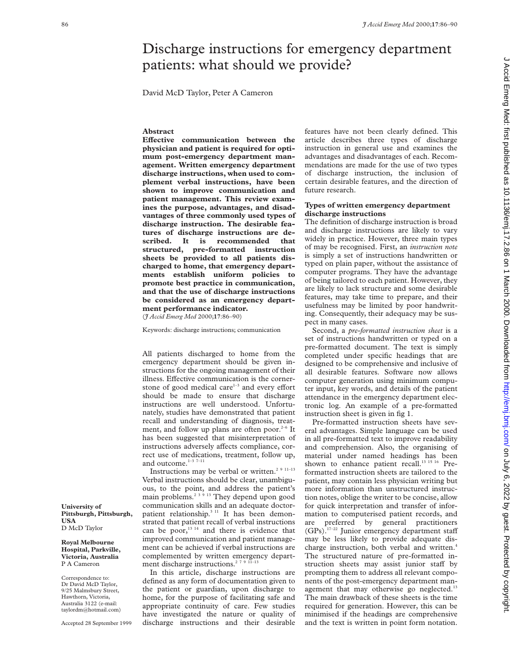# Discharge instructions for emergency department patients: what should we provide?

David McD Taylor, Peter A Cameron

# **Abstract**

**Effective communication between the physician and patient is required for optimum post-emergency department management. Written emergency department discharge instructions, when used to complement verbal instructions, have been shown to improve communication and patient management. This review examines the purpose, advantages, and disadvantages of three commonly used types of discharge instruction. The desirable features of discharge instructions are described. It is recommended that structured, pre-formatted instruction sheets be provided to all patients discharged to home, that emergency departments establish uniform policies to promote best practice in communication, and that the use of discharge instructions be considered as an emergency department performance indicator.** (*J Accid Emerg Med* 2000;**17**:86–90)

Keywords: discharge instructions; communication

All patients discharged to home from the emergency department should be given instructions for the ongoing management of their illness. Effective communication is the cornerstone of good medical care $1-3$  and every effort should be made to ensure that discharge instructions are well understood. Unfortunately, studies have demonstrated that patient recall and understanding of diagnosis, treatment, and follow up plans are often poor.<sup>2-6</sup> It has been suggested that misinterpretation of instructions adversely affects compliance, correct use of medications, treatment, follow up, and outcome. $1-3$   $7-11$ 

Instructions may be verbal or written.<sup>2 9 11-13</sup> Verbal instructions should be clear, unambiguous, to the point, and address the patient's main problems.<sup>23913</sup> They depend upon good communication skills and an adequate doctorpatient relationship.<sup>3 11</sup> It has been demonstrated that patient recall of verbal instructions can be poor, $13 \times 14$  and there is evidence that improved communication and patient management can be achieved if verbal instructions are complemented by written emergency department discharge instructions.<sup>279 11-13</sup>

In this article, discharge instructions are defined as any form of documentation given to the patient or guardian, upon discharge to home, for the purpose of facilitating safe and appropriate continuity of care. Few studies have investigated the nature or quality of discharge instructions and their desirable

features have not been clearly defined. This article describes three types of discharge instruction in general use and examines the advantages and disadvantages of each. Recommendations are made for the use of two types of discharge instruction, the inclusion of certain desirable features, and the direction of future research.

## **Types of written emergency department discharge instructions**

The definition of discharge instruction is broad and discharge instructions are likely to vary widely in practice. However, three main types of may be recognised. First, an *instruction note* is simply a set of instructions handwritten or typed on plain paper, without the assistance of computer programs. They have the advantage of being tailored to each patient. However, they are likely to lack structure and some desirable features, may take time to prepare, and their usefulness may be limited by poor handwriting. Consequently, their adequacy may be suspect in many cases.

Second, a *pre-formatted instruction sheet* is a set of instructions handwritten or typed on a pre-formatted document. The text is simply completed under specific headings that are designed to be comprehensive and inclusive of all desirable features. Software now allows computer generation using minimum computer input, key words, and details of the patient attendance in the emergency department electronic log. An example of a pre-formatted instruction sheet is given in fig 1.

Pre-formatted instruction sheets have several advantages. Simple language can be used in all pre-formatted text to improve readability and comprehension. Also, the organising of material under named headings has been shown to enhance patient recall.<sup>13 15</sup> <sup>16</sup> Preformatted instruction sheets are tailored to the patient, may contain less physician writing but more information than unstructured instruction notes, oblige the writer to be concise, allow for quick interpretation and transfer of information to computerised patient records, and are preferred by general practitioners  $(GPs)$ .<sup>17-22</sup> Junior emergency department staff may be less likely to provide adequate discharge instruction, both verbal and written.<sup>4</sup> The structured nature of pre-formatted instruction sheets may assist junior staff by prompting them to address all relevant components of the post-emergency department management that may otherwise go neglected.<sup>13</sup> The main drawback of these sheets is the time required for generation. However, this can be minimised if the headings are comprehensive and the text is written in point form notation.

**University of Pittsburgh, Pittsburgh, USA** D McD Taylor

**Royal Melbourne Hospital, Parkville, Victoria, Australia** P A Cameron

Correspondence to: Dr David McD Taylor, 9/25 Malmsbury Street, Hawthorn, Victoria, Australia 3122 (e-mail: taylordm@hotmail.com)

Accepted 28 September 1999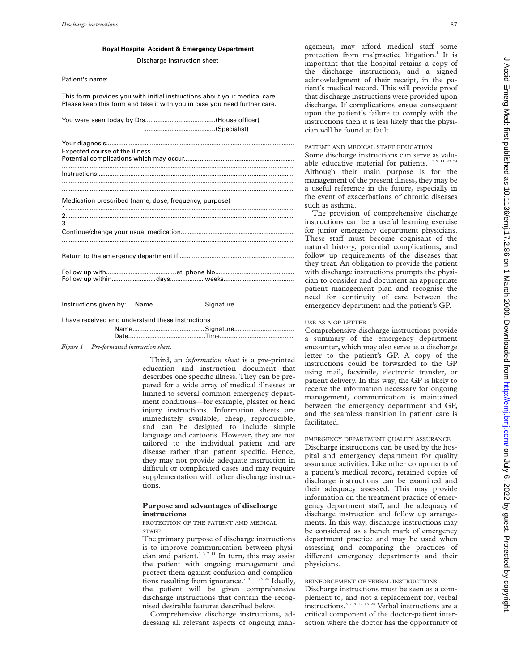### **Royal Hospital Accident & Emergency Department**

Discharge instruction sheet

Patient's name:........................................................

This form provides you with initial instructions about your medical care. Please keep this form and take it with you in case you need further care.

| Medication prescribed (name, dose, frequency, purpose) |
|--------------------------------------------------------|
|                                                        |
|                                                        |
|                                                        |
|                                                        |
|                                                        |
|                                                        |
| Instructions given by: NameSignature                   |
| I have received and understand these instructions      |
|                                                        |

*Figure 1 Pre-formatted instruction sheet.*

Third, an *information sheet* is a pre-printed education and instruction document that describes one specific illness. They can be prepared for a wide array of medical illnesses or limited to several common emergency department conditions—for example, plaster or head injury instructions. Information sheets are immediately available, cheap, reproducible, and can be designed to include simple language and cartoons. However, they are not tailored to the individual patient and are disease rather than patient specific. Hence, they may not provide adequate instruction in difficult or complicated cases and may require supplementation with other discharge instructions.

## **Purpose and advantages of discharge instructions**

PROTECTION OF THE PATIENT AND MEDICAL STAFF

The primary purpose of discharge instructions is to improve communication between physician and patient.<sup>1 3 7 11</sup> In turn, this may assist the patient with ongoing management and protect them against confusion and complications resulting from ignorance.7 9 11 23 24 Ideally, the patient will be given comprehensive discharge instructions that contain the recognised desirable features described below.

Comprehensive discharge instructions, addressing all relevant aspects of ongoing management, may afford medical staff some protection from malpractice litigation.<sup>1</sup> It is important that the hospital retains a copy of the discharge instructions, and a signed acknowledgment of their receipt, in the patient's medical record. This will provide proof that discharge instructions were provided upon discharge. If complications ensue consequent upon the patient's failure to comply with the instructions then it is less likely that the physician will be found at fault.

#### PATIENT AND MEDICAL STAFF EDUCATION

Some discharge instructions can serve as valuable educative material for patients.<sup>179 11 23 24</sup> Although their main purpose is for the management of the present illness, they may be a useful reference in the future, especially in the event of exacerbations of chronic diseases such as asthma.

The provision of comprehensive discharge instructions can be a useful learning exercise for junior emergency department physicians. These staff must become cognisant of the natural history, potential complications, and follow up requirements of the diseases that they treat. An obligation to provide the patient with discharge instructions prompts the physician to consider and document an appropriate patient management plan and recognise the need for continuity of care between the emergency department and the patient's GP.

## USE AS A GP LETTER

Comprehensive discharge instructions provide a summary of the emergency department encounter, which may also serve as a discharge letter to the patient's GP. A copy of the instructions could be forwarded to the GP using mail, facsimile, electronic transfer, or patient delivery. In this way, the GP is likely to receive the information necessary for ongoing management, communication is maintained between the emergency department and GP, and the seamless transition in patient care is facilitated.

## EMERGENCY DEPARTMENT QUALITY ASSURANCE

Discharge instructions can be used by the hospital and emergency department for quality assurance activities. Like other components of a patient's medical record, retained copies of discharge instructions can be examined and their adequacy assessed. This may provide information on the treatment practice of emergency department staff, and the adequacy of discharge instruction and follow up arrangements. In this way, discharge instructions may be considered as a bench mark of emergency department practice and may be used when assessing and comparing the practices of different emergency departments and their physicians.

# REINFORCEMENT OF VERBAL INSTRUCTIONS

Discharge instructions must be seen as a complement to, and not a replacement for, verbal instructions.3 7 9 12 13 24 Verbal instructions are a critical component of the doctor-patient interaction where the doctor has the opportunity of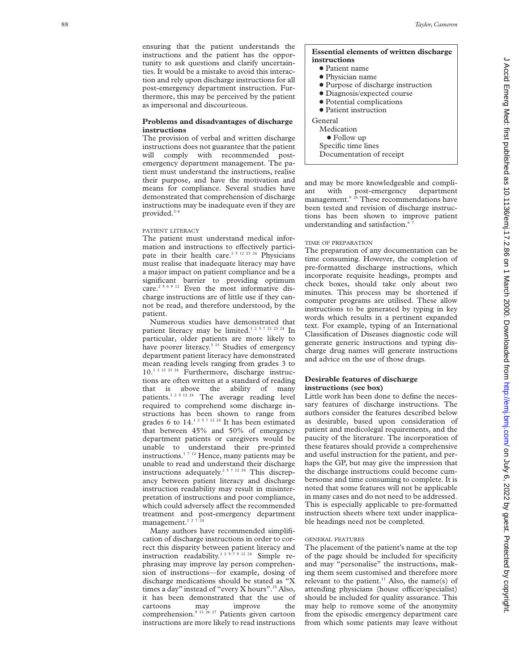ensuring that the patient understands the instructions and the patient has the opportunity to ask questions and clarify uncertainties. It would be a mistake to avoid this interaction and rely upon discharge instructions for all post-emergency department instruction. Furthermore, this may be perceived by the patient as impersonal and discourteous.

# **Problems and disadvantages of discharge instructions**

The provision of verbal and written discharge instructions does not guarantee that the patient will comply with recommended postemergency department management. The patient must understand the instructions, realise their purpose, and have the motivation and means for compliance. Several studies have demonstrated that comprehension of discharge instructions may be inadequate even if they are provided.<sup>2-6</sup>

### PATIENT LITERACY

The patient must understand medical information and instructions to effectively participate in their health care.<sup>2 5 12 23 24</sup> Physicians must realise that inadequate literacy may have a major impact on patient compliance and be a significant barrier to providing optimum care.<sup>2 5 6 9 12</sup> Even the most informative discharge instructions are of little use if they cannot be read, and therefore understood, by the patient.

Numerous studies have demonstrated that patient literacy may be limited.1 2 5 7 12 23 24 In particular, older patients are more likely to have poorer literacy.<sup>5 23</sup> Studies of emergency department patient literacy have demonstrated mean reading levels ranging from grades 3 to 10.<sup>1 2 12 23 24</sup> Furthermore, discharge instructions are often written at a standard of reading that is above the ability of many patients.<sup>1 2 5 12 24</sup> The average reading level required to comprehend some discharge instructions has been shown to range from grades 6 to  $14.^{1\,2\,5\,7\,12\,24}$  It has been estimated that between 45% and 50% of emergency department patients or caregivers would be unable to understand their pre-printed instructions.<sup>1712</sup> Hence, many patients may be unable to read and understand their discharge instructions adequately.2 5 7 12 24 This discrepancy between patient literacy and discharge instruction readability may result in misinterpretation of instructions and poor compliance, which could adversely affect the recommended treatment and post-emergency department management.<sup>12724</sup>

Many authors have recommended simplification of discharge instructions in order to correct this disparity between patient literacy and instruction readability.<sup>1 2 5–7 9 12 24</sup> Simple rephrasing may improve lay person comprehension of instructions—for example, dosing of discharge medications should be stated as "X times a day" instead of "every X hours".<sup>25</sup> Also, it has been demonstrated that the use of cartoons may improve the comprehension.<sup>9 12 26</sup> <sup>27</sup> Patients given cartoon instructions are more likely to read instructions

| <b>Essential elements of written discharge</b> |  |
|------------------------------------------------|--|
| instructions                                   |  |

- Patient name
- $\bullet$  Physician name
- Purpose of discharge instruction
- $\bullet$  Diagnosis/expected course
- Potential complications
- $\bullet$  Patient instruction

General

- Medication  $\bullet$  Follow up
- Specific time lines
- Documentation of receipt

and may be more knowledgeable and compliant with post-emergency department management.<sup>9</sup> <sup>26</sup> These recommendations have been tested and revision of discharge instructions has been shown to improve patient understanding and satisfaction.<sup>6</sup>

# TIME OF PREPARATION

The preparation of any documentation can be time consuming. However, the completion of pre-formatted discharge instructions, which incorporate requisite headings, prompts and check boxes, should take only about two minutes. This process may be shortened if computer programs are utilised. These allow instructions to be generated by typing in key words which results in a pertinent expanded text. For example, typing of an International Classification of Diseases diagnostic code will generate generic instructions and typing discharge drug names will generate instructions and advice on the use of those drugs.

## **Desirable features of discharge instructions (see box)**

Little work has been done to define the necessary features of discharge instructions. The authors consider the features described below as desirable, based upon consideration of patient and medicolegal requirements, and the paucity of the literature. The incorporation of these features should provide a comprehensive and useful instruction for the patient, and perhaps the GP, but may give the impression that the discharge instructions could become cumbersome and time consuming to complete. It is noted that some features will not be applicable in many cases and do not need to be addressed. This is especially applicable to pre-formatted instruction sheets where text under inapplicable headings need not be completed.

## GENERAL FEATURES

The placement of the patient's name at the top of the page should be included for specificity and may "personalise" the instructions, making them seem customised and therefore more relevant to the patient.<sup>11</sup> Also, the name(s) of attending physicians (house officer/specialist) should be included for quality assurance. This may help to remove some of the anonymity from the episodic emergency department care from which some patients may leave without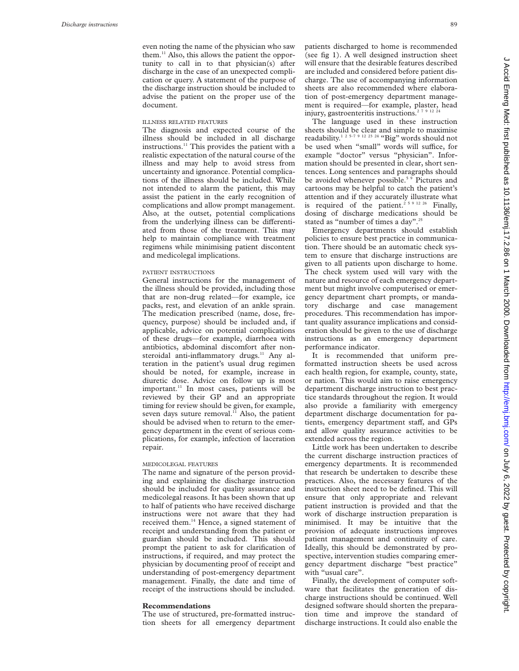even noting the name of the physician who saw them.<sup>11</sup> Also, this allows the patient the opportunity to call in to that physician(s) after discharge in the case of an unexpected complication or query. A statement of the purpose of the discharge instruction should be included to advise the patient on the proper use of the document.

# ILLNESS RELATED FEATURES

The diagnosis and expected course of the illness should be included in all discharge instructions.11 This provides the patient with a realistic expectation of the natural course of the illness and may help to avoid stress from uncertainty and ignorance. Potential complications of the illness should be included. While not intended to alarm the patient, this may assist the patient in the early recognition of complications and allow prompt management. Also, at the outset, potential complications from the underlying illness can be differentiated from those of the treatment. This may help to maintain compliance with treatment regimens while minimising patient discontent and medicolegal implications.

#### PATIENT INSTRUCTIONS

General instructions for the management of the illness should be provided, including those that are non-drug related—for example, ice packs, rest, and elevation of an ankle sprain. The medication prescribed (name, dose, frequency, purpose) should be included and, if applicable, advice on potential complications of these drugs—for example, diarrhoea with antibiotics, abdominal discomfort after nonsteroidal anti-inflammatory drugs.<sup>11</sup> Any alteration in the patient's usual drug regimen should be noted, for example, increase in diuretic dose. Advice on follow up is most important.<sup>11</sup> In most cases, patients will be reviewed by their GP and an appropriate timing for review should be given, for example, seven days suture removal. $^{11}$  Also, the patient should be advised when to return to the emergency department in the event of serious complications, for example, infection of laceration repair.

#### MEDICOLEGAL FEATURES

The name and signature of the person providing and explaining the discharge instruction should be included for quality assurance and medicolegal reasons. It has been shown that up to half of patients who have received discharge instructions were not aware that they had received them.<sup>14</sup> Hence, a signed statement of receipt and understanding from the patient or guardian should be included. This should prompt the patient to ask for clarification of instructions, if required, and may protect the physician by documenting proof of receipt and understanding of post-emergency department management. Finally, the date and time of receipt of the instructions should be included.

### **Recommendations**

The use of structured, pre-formatted instruction sheets for all emergency department

patients discharged to home is recommended (see fig 1). A well designed instruction sheet will ensure that the desirable features described are included and considered before patient discharge. The use of accompanying information sheets are also recommended where elaboration of post-emergency department management is required—for example, plaster, head injury, gastroenteritis instructions.<sup>279122</sup>

The language used in these instruction sheets should be clear and simple to maximise readability.<sup>1 2 5–7 9 12 23 24</sup> "Big" words should not be used when "small" words will suffice, for example "doctor" versus "physician". Information should be presented in clear, short sentences. Long sentences and paragraphs should be avoided whenever possible.<sup>5</sup> <sup>9</sup> Pictures and cartoons may be helpful to catch the patient's attention and if they accurately illustrate what is required of the patient.<sup>2 5 9 12 26</sup> Finally, dosing of discharge medications should be stated as "number of times a day".<sup>25</sup>

Emergency departments should establish policies to ensure best practice in communication. There should be an automatic check system to ensure that discharge instructions are given to all patients upon discharge to home. The check system used will vary with the nature and resource of each emergency department but might involve computerised or emergency department chart prompts, or mandatory discharge and case management procedures. This recommendation has important quality assurance implications and consideration should be given to the use of discharge instructions as an emergency department performance indicator.

It is recommended that uniform preformatted instruction sheets be used across each health region, for example, county, state, or nation. This would aim to raise emergency department discharge instruction to best practice standards throughout the region. It would also provide a familiarity with emergency department discharge documentation for patients, emergency department staff, and GPs and allow quality assurance activities to be extended across the region.

Little work has been undertaken to describe the current discharge instruction practices of emergency departments. It is recommended that research be undertaken to describe these practices. Also, the necessary features of the instruction sheet need to be defined. This will ensure that only appropriate and relevant patient instruction is provided and that the work of discharge instruction preparation is minimised. It may be intuitive that the provision of adequate instructions improves patient management and continuity of care. Ideally, this should be demonstrated by prospective, intervention studies comparing emergency department discharge "best practice" with "usual care".

Finally, the development of computer software that facilitates the generation of discharge instructions should be continued. Well designed software should shorten the preparation time and improve the standard of discharge instructions. It could also enable the